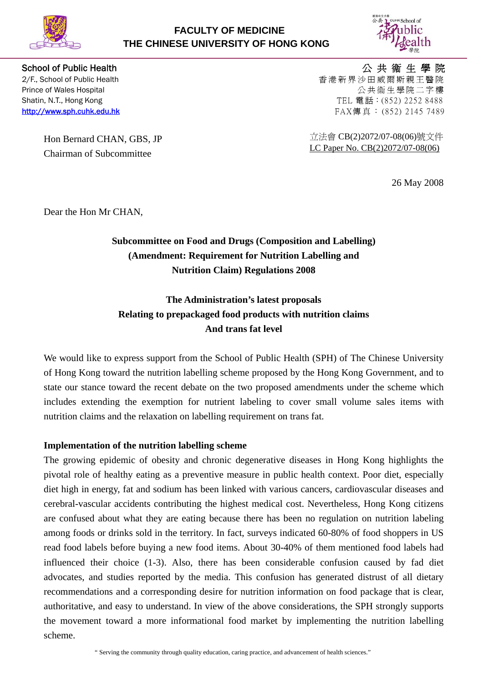

## **FACULTY OF MEDICINE THE CHINESE UNIVERSITY OF HONG KONG**



Hon Bernard CHAN, GBS, JP Chairman of Subcommittee

School of Public Health **And The Control of Public Health** And The Control of The Control of Public Health And T 2/F., School of Public Health **Example 2008** and the control of the control of Public Health **and the control of the control of the control of Public Health** and the control of the control of the control of the control of Prince of Wales Hospital **According to the Control** Control of Wales Hospital According to the Control Of the Control of the Control of the Control of the Control of the Control of the Control of the Control of the Contro Shatin, N.T., Hong Kong 252 8488 [http://www.sph.cuhk.edu.hk](http://www.sph.cuhk.edu.hk/) FAX傳真: (852) 2145 7489

> 立法會 CB(2)2072/07-08(06)號文件 LC Paper No. CB(2)2072/07-08(06)

> > 26 May 2008

Dear the Hon Mr CHAN,

# **Subcommittee on Food and Drugs (Composition and Labelling) (Amendment: Requirement for Nutrition Labelling and Nutrition Claim) Regulations 2008**

**The Administration's latest proposals Relating to prepackaged food products with nutrition claims And trans fat level** 

We would like to express support from the School of Public Health (SPH) of The Chinese University of Hong Kong toward the nutrition labelling scheme proposed by the Hong Kong Government, and to state our stance toward the recent debate on the two proposed amendments under the scheme which includes extending the exemption for nutrient labeling to cover small volume sales items with nutrition claims and the relaxation on labelling requirement on trans fat.

### **Implementation of the nutrition labelling scheme**

The growing epidemic of obesity and chronic degenerative diseases in Hong Kong highlights the pivotal role of healthy eating as a preventive measure in public health context. Poor diet, especially diet high in energy, fat and sodium has been linked with various cancers, cardiovascular diseases and cerebral-vascular accidents contributing the highest medical cost. Nevertheless, Hong Kong citizens are confused about what they are eating because there has been no regulation on nutrition labeling among foods or drinks sold in the territory. In fact, surveys indicated 60-80% of food shoppers in US read food labels before buying a new food items. About 30-40% of them mentioned food labels had influenced their choice (1-3). Also, there has been considerable confusion caused by fad diet advocates, and studies reported by the media. This confusion has generated distrust of all dietary recommendations and a corresponding desire for nutrition information on food package that is clear, authoritative, and easy to understand. In view of the above considerations, the SPH strongly supports the movement toward a more informational food market by implementing the nutrition labelling scheme.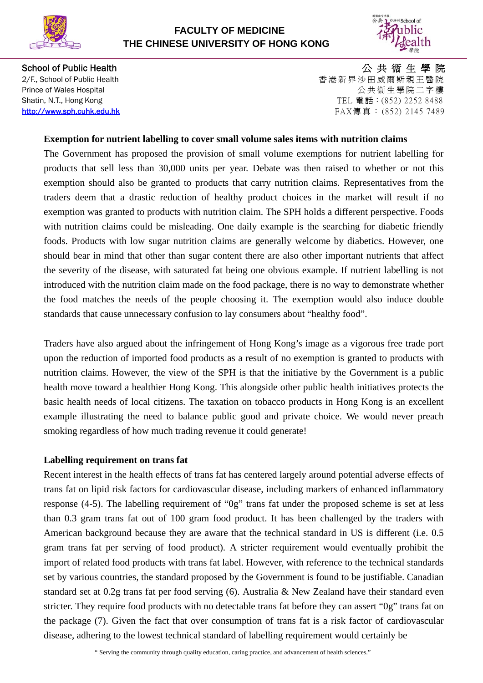

## **FACULTY OF MEDICINE THE CHINESE UNIVERSITY OF HONG KONG**



School of Public Health **And The Control of Public Health** And The Control of The Control of Public Health And T 2/F., School of Public Health 香港新界沙田威爾斯親王醫院 Prince of Wales Hospital **According to the Control** Control of Wales Hospital According to the Control Of the Control of the Control of the Control of the Control of the Control of the Control of the Control of the Contro Shatin, N.T., Hong Kong 252 8488 [http://www.sph.cuhk.edu.hk](http://www.sph.cuhk.edu.hk/) FAX傳真: (852) 2145 7489

#### **Exemption for nutrient labelling to cover small volume sales items with nutrition claims**

The Government has proposed the provision of small volume exemptions for nutrient labelling for products that sell less than 30,000 units per year. Debate was then raised to whether or not this exemption should also be granted to products that carry nutrition claims. Representatives from the traders deem that a drastic reduction of healthy product choices in the market will result if no exemption was granted to products with nutrition claim. The SPH holds a different perspective. Foods with nutrition claims could be misleading. One daily example is the searching for diabetic friendly foods. Products with low sugar nutrition claims are generally welcome by diabetics. However, one should bear in mind that other than sugar content there are also other important nutrients that affect the severity of the disease, with saturated fat being one obvious example. If nutrient labelling is not introduced with the nutrition claim made on the food package, there is no way to demonstrate whether the food matches the needs of the people choosing it. The exemption would also induce double standards that cause unnecessary confusion to lay consumers about "healthy food".

Traders have also argued about the infringement of Hong Kong's image as a vigorous free trade port upon the reduction of imported food products as a result of no exemption is granted to products with nutrition claims. However, the view of the SPH is that the initiative by the Government is a public health move toward a healthier Hong Kong. This alongside other public health initiatives protects the basic health needs of local citizens. The taxation on tobacco products in Hong Kong is an excellent example illustrating the need to balance public good and private choice. We would never preach smoking regardless of how much trading revenue it could generate!

#### **Labelling requirement on trans fat**

Recent interest in the health effects of trans fat has centered largely around potential adverse effects of trans fat on lipid risk factors for cardiovascular disease, including markers of enhanced inflammatory response (4-5). The labelling requirement of "0g" trans fat under the proposed scheme is set at less than 0.3 gram trans fat out of 100 gram food product. It has been challenged by the traders with American background because they are aware that the technical standard in US is different (i.e. 0.5 gram trans fat per serving of food product). A stricter requirement would eventually prohibit the import of related food products with trans fat label. However, with reference to the technical standards set by various countries, the standard proposed by the Government is found to be justifiable. Canadian standard set at 0.2g trans fat per food serving (6). Australia & New Zealand have their standard even stricter. They require food products with no detectable trans fat before they can assert "0g" trans fat on the package (7). Given the fact that over consumption of trans fat is a risk factor of cardiovascular disease, adhering to the lowest technical standard of labelling requirement would certainly be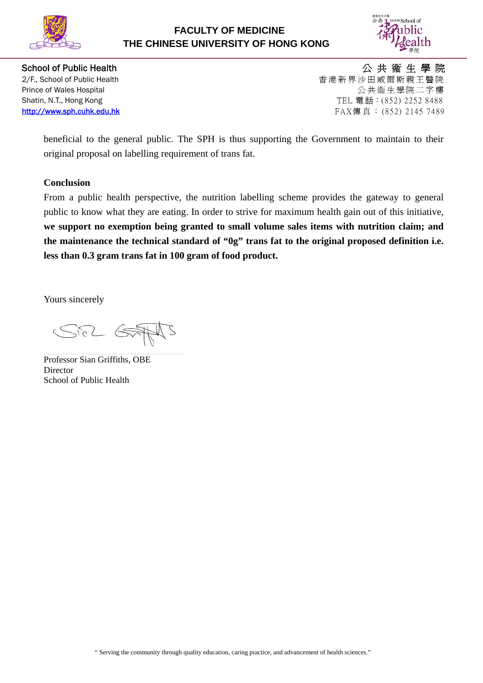



School of Public Health **Accord Accord Public Health** Accord Accord Accord Accord Accord Accord Accord Accord Acco 2/F., School of Public Health 香港新界沙田威爾斯親王醫院 Prince of Wales Hospital **According to the Control** Control of Wales Hospital According to the Control Of the Control of the Control of the Control of the Control of the Control of the Control of the Control of the Contro Shatin, N.T., Hong Kong 2007 (1998) 7 Decay of the US and TEL 電話: (852) 2252 8488 [http://www.sph.cuhk.edu.hk](http://www.sph.cuhk.edu.hk/) FAX傳真: (852) 2145 7489

beneficial to the general public. The SPH is thus supporting the Government to maintain to their original proposal on labelling requirement of trans fat.

### **Conclusion**

From a public health perspective, the nutrition labelling scheme provides the gateway to general public to know what they are eating. In order to strive for maximum health gain out of this initiative, **we support no exemption being granted to small volume sales items with nutrition claim; and the maintenance the technical standard of "0g" trans fat to the original proposed definition i.e. less than 0.3 gram trans fat in 100 gram of food product.** 

Yours sincerely

SEL GEAMS

Professor Sian Griffiths, OBE Director School of Public Health

" Serving the community through quality education, caring practice, and advancement of health sciences."